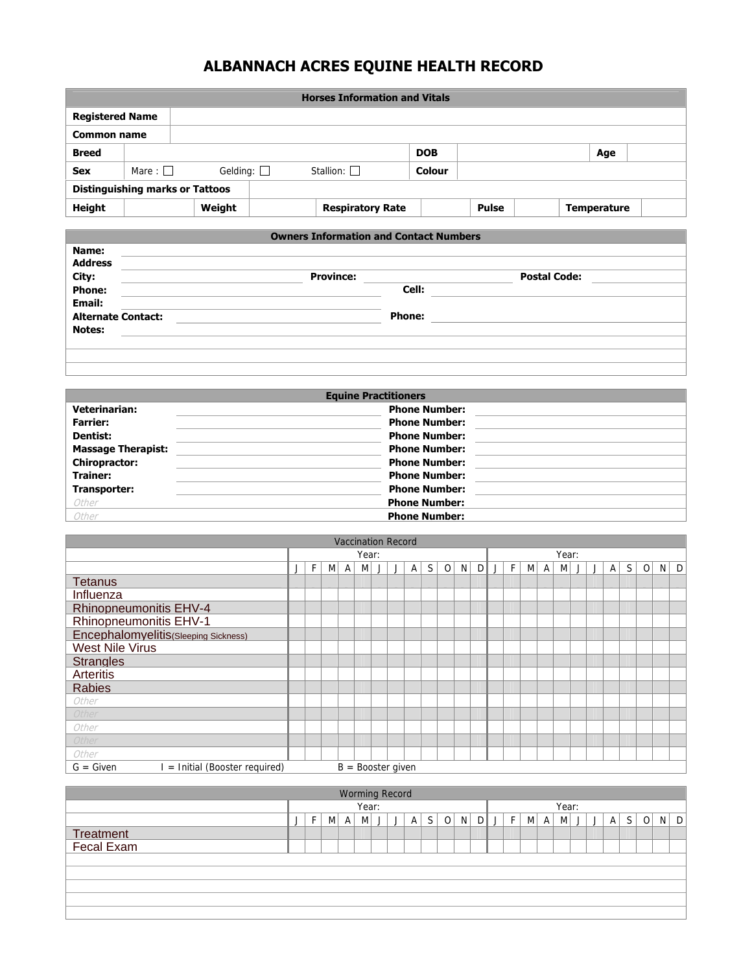## **ALBANNACH ACRES EQUINE HEALTH RECORD**

|                        |                                        |                 | <b>Horses Information and Vitals</b> |               |       |                    |  |
|------------------------|----------------------------------------|-----------------|--------------------------------------|---------------|-------|--------------------|--|
| <b>Registered Name</b> |                                        |                 |                                      |               |       |                    |  |
| Common name            |                                        |                 |                                      |               |       |                    |  |
| <b>Breed</b>           |                                        |                 |                                      | <b>DOB</b>    |       | Age                |  |
| <b>Sex</b>             | Mare : $\Box$                          | Gelding: $\Box$ | Stallion: $\square$                  | <b>Colour</b> |       |                    |  |
|                        | <b>Distinguishing marks or Tattoos</b> |                 |                                      |               |       |                    |  |
| <b>Height</b>          |                                        | Weight          | <b>Respiratory Rate</b>              |               | Pulse | <b>Temperature</b> |  |

|                           | <b>Owners Information and Contact Numbers</b> |        |                     |  |
|---------------------------|-----------------------------------------------|--------|---------------------|--|
| Name:                     |                                               |        |                     |  |
| <b>Address</b>            |                                               |        |                     |  |
|                           | <b>Province:</b>                              |        | <b>Postal Code:</b> |  |
| City:<br>Phone:           |                                               | Cell:  |                     |  |
| <b>Email:</b>             |                                               |        |                     |  |
| <b>Alternate Contact:</b> |                                               | Phone: |                     |  |
| <b>Notes:</b>             |                                               |        |                     |  |
|                           |                                               |        |                     |  |
|                           |                                               |        |                     |  |
|                           |                                               |        |                     |  |

|                           | <b>Equine Practitioners</b> |  |
|---------------------------|-----------------------------|--|
| <b>Veterinarian:</b>      | <b>Phone Number:</b>        |  |
| <b>Farrier:</b>           | <b>Phone Number:</b>        |  |
| <b>Dentist:</b>           | <b>Phone Number:</b>        |  |
| <b>Massage Therapist:</b> | <b>Phone Number:</b>        |  |
| <b>Chiropractor:</b>      | <b>Phone Number:</b>        |  |
| <b>Trainer:</b>           | <b>Phone Number:</b>        |  |
| Transporter:              | <b>Phone Number:</b>        |  |
| Other                     | <b>Phone Number:</b>        |  |
| Other                     | <b>Phone Number:</b>        |  |

| <b>Vaccination Record</b>                   |                                                   |  |  |  |       |  |                     |  |  |  |  |  |  |   |   |              |       |  |   |    |   |          |              |
|---------------------------------------------|---------------------------------------------------|--|--|--|-------|--|---------------------|--|--|--|--|--|--|---|---|--------------|-------|--|---|----|---|----------|--------------|
|                                             |                                                   |  |  |  | Year: |  |                     |  |  |  |  |  |  |   |   |              | Year: |  |   |    |   |          |              |
|                                             | S.<br>D<br>F.<br>M<br>$\circ$<br>N<br>M<br>A<br>A |  |  |  |       |  |                     |  |  |  |  |  |  | F | M | $\mathsf{A}$ | M     |  | A | S. | 0 | $N \mid$ | $\mathsf{D}$ |
| <b>Tetanus</b>                              |                                                   |  |  |  |       |  |                     |  |  |  |  |  |  |   |   |              |       |  |   |    |   |          |              |
| Influenza                                   |                                                   |  |  |  |       |  |                     |  |  |  |  |  |  |   |   |              |       |  |   |    |   |          |              |
| <b>Rhinopneumonitis EHV-4</b>               |                                                   |  |  |  |       |  |                     |  |  |  |  |  |  |   |   |              |       |  |   |    |   |          |              |
| <b>Rhinopneumonitis EHV-1</b>               |                                                   |  |  |  |       |  |                     |  |  |  |  |  |  |   |   |              |       |  |   |    |   |          |              |
| Encephalomyelitis(Sleeping Sickness)        |                                                   |  |  |  |       |  |                     |  |  |  |  |  |  |   |   |              |       |  |   |    |   |          |              |
| <b>West Nile Virus</b>                      |                                                   |  |  |  |       |  |                     |  |  |  |  |  |  |   |   |              |       |  |   |    |   |          |              |
| <b>Strangles</b>                            |                                                   |  |  |  |       |  |                     |  |  |  |  |  |  |   |   |              |       |  |   |    |   |          |              |
| <b>Arteritis</b>                            |                                                   |  |  |  |       |  |                     |  |  |  |  |  |  |   |   |              |       |  |   |    |   |          |              |
| <b>Rabies</b>                               |                                                   |  |  |  |       |  |                     |  |  |  |  |  |  |   |   |              |       |  |   |    |   |          |              |
| Other                                       |                                                   |  |  |  |       |  |                     |  |  |  |  |  |  |   |   |              |       |  |   |    |   |          |              |
| Other                                       |                                                   |  |  |  |       |  |                     |  |  |  |  |  |  |   |   |              |       |  |   |    |   |          |              |
| Other                                       |                                                   |  |  |  |       |  |                     |  |  |  |  |  |  |   |   |              |       |  |   |    |   |          |              |
| Other                                       |                                                   |  |  |  |       |  |                     |  |  |  |  |  |  |   |   |              |       |  |   |    |   |          |              |
| Other                                       |                                                   |  |  |  |       |  |                     |  |  |  |  |  |  |   |   |              |       |  |   |    |   |          |              |
| = Initial (Booster required)<br>$G = Given$ |                                                   |  |  |  |       |  | $B =$ Booster given |  |  |  |  |  |  |   |   |              |       |  |   |    |   |          |              |

| <b>Worming Record</b>          |                                                              |  |  |  |  |  |  |  |  |  |  |  |    |   |       |   |  |  |   |  |    |  |     |  |  |  |  |  |
|--------------------------------|--------------------------------------------------------------|--|--|--|--|--|--|--|--|--|--|--|----|---|-------|---|--|--|---|--|----|--|-----|--|--|--|--|--|
|                                | Year:                                                        |  |  |  |  |  |  |  |  |  |  |  |    |   | Year: |   |  |  |   |  |    |  |     |  |  |  |  |  |
|                                | $\Omega$<br>N<br>S  <br>DΙ<br>F.<br>MI<br>A<br>M<br>$A \mid$ |  |  |  |  |  |  |  |  |  |  |  | E. | M | A     | M |  |  | А |  | ΟI |  | N D |  |  |  |  |  |
|                                |                                                              |  |  |  |  |  |  |  |  |  |  |  |    |   |       |   |  |  |   |  |    |  |     |  |  |  |  |  |
| <b>Treatment</b><br>Fecal Exam |                                                              |  |  |  |  |  |  |  |  |  |  |  |    |   |       |   |  |  |   |  |    |  |     |  |  |  |  |  |
|                                |                                                              |  |  |  |  |  |  |  |  |  |  |  |    |   |       |   |  |  |   |  |    |  |     |  |  |  |  |  |
|                                |                                                              |  |  |  |  |  |  |  |  |  |  |  |    |   |       |   |  |  |   |  |    |  |     |  |  |  |  |  |
|                                |                                                              |  |  |  |  |  |  |  |  |  |  |  |    |   |       |   |  |  |   |  |    |  |     |  |  |  |  |  |
|                                |                                                              |  |  |  |  |  |  |  |  |  |  |  |    |   |       |   |  |  |   |  |    |  |     |  |  |  |  |  |
|                                |                                                              |  |  |  |  |  |  |  |  |  |  |  |    |   |       |   |  |  |   |  |    |  |     |  |  |  |  |  |